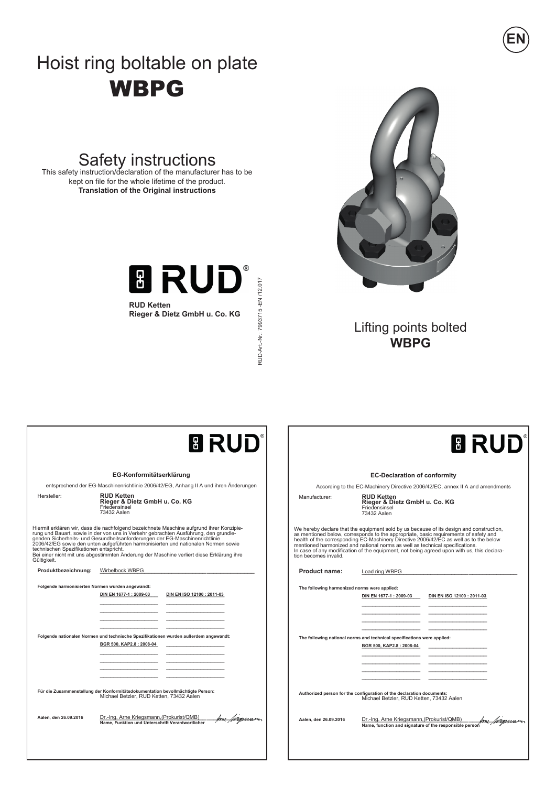## Hoist ring boltable on plate WBPG

# Safety instructions<br>This safety instruction/declaration of the manufacturer has to be

kept on file for the whole lifetime of the product. **Translation of the Original instructions**



**Rieger & Dietz GmbH u. Co. KG**

RUD-Art -Nr: 7993715 - EN /12.017 RUD-Art.-Nr.: 7993715 -EN /12.017



**EN**

Lifting points bolted **WBPG**

| <b>B RUD</b>                                                                                                                                                                                                                                                                                                                                                                                                                                                                                                | <b>B RUD</b>                                                                                                                                                                                                                                                                                                                                                                                                                                                                 |
|-------------------------------------------------------------------------------------------------------------------------------------------------------------------------------------------------------------------------------------------------------------------------------------------------------------------------------------------------------------------------------------------------------------------------------------------------------------------------------------------------------------|------------------------------------------------------------------------------------------------------------------------------------------------------------------------------------------------------------------------------------------------------------------------------------------------------------------------------------------------------------------------------------------------------------------------------------------------------------------------------|
| EG-Konformitätserklärung                                                                                                                                                                                                                                                                                                                                                                                                                                                                                    | <b>EC-Declaration of conformity</b>                                                                                                                                                                                                                                                                                                                                                                                                                                          |
| entsprechend der EG-Maschinenrichtlinie 2006/42/EG, Anhang II A und ihren Änderungen                                                                                                                                                                                                                                                                                                                                                                                                                        | According to the EC-Machinery Directive 2006/42/EC, annex II A and amendments                                                                                                                                                                                                                                                                                                                                                                                                |
| <b>RUD Ketten</b>                                                                                                                                                                                                                                                                                                                                                                                                                                                                                           | <b>RUD Ketten</b>                                                                                                                                                                                                                                                                                                                                                                                                                                                            |
| Hersteller:                                                                                                                                                                                                                                                                                                                                                                                                                                                                                                 | Manufacturer:                                                                                                                                                                                                                                                                                                                                                                                                                                                                |
| Rieger & Dietz GmbH u. Co. KG                                                                                                                                                                                                                                                                                                                                                                                                                                                                               | Rieger & Dietz GmbH u. Co. KG                                                                                                                                                                                                                                                                                                                                                                                                                                                |
| Friedensinsel                                                                                                                                                                                                                                                                                                                                                                                                                                                                                               | Friedensinsel                                                                                                                                                                                                                                                                                                                                                                                                                                                                |
| 73432 Aalen                                                                                                                                                                                                                                                                                                                                                                                                                                                                                                 | 73432 Aalen                                                                                                                                                                                                                                                                                                                                                                                                                                                                  |
| Hiermit erklären wir, dass die nachfolgend bezeichnete Maschine aufgrund ihrer Konzipie-<br>rung und Bauart, sowie in der von uns in Verkehr gebrachten Ausführung, den grundle-<br>genden Sicherheits- und Gesundheitsanforderungen der EG-Maschinenrichtlinie<br>2006/42/EG sowie den unten aufgeführten harmonisierten und nationalen Normen sowie<br>technischen Spezifikationen entspricht.<br>Bei einer nicht mit uns abgestimmten Änderung der Maschine verliert diese Erklärung ihre<br>Gültigkeit. | We hereby declare that the equipment sold by us because of its design and construction,<br>as mentioned below, corresponds to the appropriate, basic requirements of safety and health of the corresponding EC-Machinery Directive 2006/42/EC as well as to the below<br>mentioned harmonized and national norms as well as technical specifications.<br>In case of any modification of the equipment, not being agreed upon with us, this declara-<br>tion becomes invalid. |
| Produktbezeichnung:                                                                                                                                                                                                                                                                                                                                                                                                                                                                                         | <b>Product name:</b>                                                                                                                                                                                                                                                                                                                                                                                                                                                         |
| Wirbelbock WBPG                                                                                                                                                                                                                                                                                                                                                                                                                                                                                             | Load ring WBPG                                                                                                                                                                                                                                                                                                                                                                                                                                                               |
| Folgende harmonisierten Normen wurden angewandt:                                                                                                                                                                                                                                                                                                                                                                                                                                                            | The following harmonized norms were applied:                                                                                                                                                                                                                                                                                                                                                                                                                                 |
| DIN EN 1677-1 : 2009-03                                                                                                                                                                                                                                                                                                                                                                                                                                                                                     | DIN EN 1677-1 : 2009-03                                                                                                                                                                                                                                                                                                                                                                                                                                                      |
| DIN EN ISO 12100 : 2011-03                                                                                                                                                                                                                                                                                                                                                                                                                                                                                  | DIN EN ISO 12100 : 2011-03                                                                                                                                                                                                                                                                                                                                                                                                                                                   |
| Folgende nationalen Normen und technische Spezifikationen wurden außerdem angewandt:                                                                                                                                                                                                                                                                                                                                                                                                                        | The following national norms and technical specifications were applied:                                                                                                                                                                                                                                                                                                                                                                                                      |
| BGR 500, KAP2.8: 2008-04                                                                                                                                                                                                                                                                                                                                                                                                                                                                                    | BGR 500, KAP2.8 : 2008-04                                                                                                                                                                                                                                                                                                                                                                                                                                                    |
| Für die Zusammenstellung der Konformitätsdokumentation bevollmächtigte Person:                                                                                                                                                                                                                                                                                                                                                                                                                              | Authorized person for the configuration of the declaration documents:                                                                                                                                                                                                                                                                                                                                                                                                        |
| Michael Betzler, RUD Ketten, 73432 Aalen                                                                                                                                                                                                                                                                                                                                                                                                                                                                    | Michael Betzler, RUD Ketten, 73432 Aalen                                                                                                                                                                                                                                                                                                                                                                                                                                     |
| Dr.-Ing. Arne Kriegsmann, (Prokurist/QMB)                                                                                                                                                                                                                                                                                                                                                                                                                                                                   | Dr.-Ing. Arne Kriegsmann, (Prokurist/QMB)                                                                                                                                                                                                                                                                                                                                                                                                                                    |
| Aalen, den 26.09.2016                                                                                                                                                                                                                                                                                                                                                                                                                                                                                       | Any brennson                                                                                                                                                                                                                                                                                                                                                                                                                                                                 |
| hrensum                                                                                                                                                                                                                                                                                                                                                                                                                                                                                                     | Aalen, den 26.09.2016                                                                                                                                                                                                                                                                                                                                                                                                                                                        |
| Name. Funktion und Unterschrift Verantwortlicher                                                                                                                                                                                                                                                                                                                                                                                                                                                            | Name, function and signature of the responsible person                                                                                                                                                                                                                                                                                                                                                                                                                       |
|                                                                                                                                                                                                                                                                                                                                                                                                                                                                                                             |                                                                                                                                                                                                                                                                                                                                                                                                                                                                              |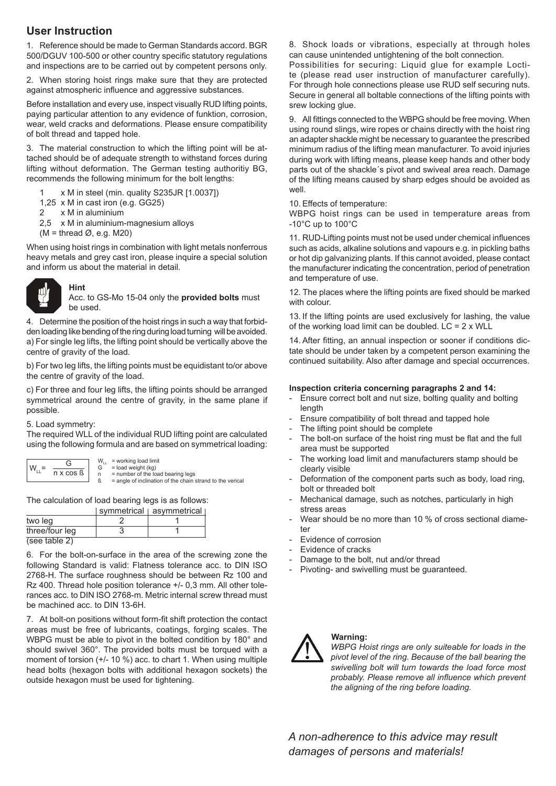## **User Instruction**

1. Reference should be made to German Standards accord. BGR 500/DGUV 100-500 or other country specific statutory regulations and inspections are to be carried out by competent persons only.

2. When storing hoist rings make sure that they are protected against atmospheric influence and aggressive substances.

Before installation and every use, inspect visually RUD lifting points, paying particular attention to any evidence of funktion, corrosion, wear, weld cracks and deformations. Please ensure compatibility of bolt thread and tapped hole.

3. The material construction to which the lifting point will be attached should be of adequate strength to withstand forces during lifting without deformation. The German testing authoritiy BG, recommends the following minimum for the bolt lengths:

- 1 x M in steel (min. quality S235JR [1.0037])
- 1,25 x M in cast iron (e.g. GG25)
- 2 x M in aluminium
- 2,5 x M in aluminium-magnesium alloys

 $(M = thread \emptyset, e.g. M20)$ 

When using hoist rings in combination with light metals nonferrous heavy metals and grey cast iron, please inquire a special solution and inform us about the material in detail.



**Hint** Acc. to GS-Mo 15-04 only the **provided bolts** must be used.

4. Determine the position of the hoist rings in such a way that forbidden loading like bending of the ring during load turning will be avoided. a) For single leg lifts, the lifting point should be vertically above the centre of gravity of the load.

b) For two leg lifts, the lifting points must be equidistant to/or above the centre of gravity of the load.

c) For three and four leg lifts, the lifting points should be arranged symmetrical around the centre of gravity, in the same plane if possible.

#### 5. Load symmetry:

The required WLL of the individual RUD lifting point are calculated using the following formula and are based on symmetrical loading:

| W | G                     | W.<br>G | = working load limit<br>$=$ load weight (kg)  |
|---|-----------------------|---------|-----------------------------------------------|
|   | $n \times \cos \beta$ | n       | $=$ number of the loa<br>امتفصصانهما كمرحاحصت |

G = load weight (kg) n = number of the load bearing legs  $\beta$  = angle of inclination of the chain strand to the verical

The calculation of load bearing legs is as follows:

|                | symmetrical asymmetrical |
|----------------|--------------------------|
| two leg        |                          |
| three/four leg |                          |
| (see table 2)  |                          |

6. For the bolt-on-surface in the area of the screwing zone the following Standard is valid: Flatness tolerance acc. to DIN ISO 2768-H. The surface roughness should be between Rz 100 and Rz 400. Thread hole position tolerance +/- 0,3 mm. All other tolerances acc. to DIN ISO 2768-m. Metric internal screw thread must be machined acc. to DIN 13-6H.

7. At bolt-on positions without form-fit shift protection the contact areas must be free of lubricants, coatings, forging scales. The WBPG must be able to pivot in the bolted condition by 180° and should swivel 360°. The provided bolts must be torqued with a moment of torsion (+/- 10 %) acc. to chart 1. When using multiple head bolts (hexagon bolts with additional hexagon sockets) the outside hexagon must be used for tightening.

8. Shock loads or vibrations, especially at through holes can cause unintended untightening of the bolt connection.

Possibilities for securing: Liquid glue for example Loctite (please read user instruction of manufacturer carefully). For through hole connections please use RUD self securing nuts. Secure in general all boltable connections of the lifting points with srew locking glue.

9. All fittings connected to the WBPG should be free moving. When using round slings, wire ropes or chains directly with the hoist ring an adapter shackle might be necessary to guarantee the prescribed minimum radius of the lifting mean manufacturer. To avoid injuries during work with lifting means, please keep hands and other body parts out of the shackle´s pivot and swiveal area reach. Damage of the lifting means caused by sharp edges should be avoided as well.

#### 10. Effects of temperature:

WBPG hoist rings can be used in temperature areas from -10°C up to 100°C

11. RUD-Lifting points must not be used under chemical influences such as acids, alkaline solutions and vapours e.g. in pickling baths or hot dip galvanizing plants. If this cannot avoided, please contact the manufacturer indicating the concentration, period of penetration and temperature of use.

12. The places where the lifting points are fixed should be marked with colour.

13. If the lifting points are used exclusively for lashing, the value of the working load limit can be doubled.  $LC = 2 \times WLL$ 

14. After fitting, an annual inspection or sooner if conditions dictate should be under taken by a competent person examining the continued suitability. Also after damage and special occurrences.

#### **Inspection criteria concerning paragraphs 2 and 14:**

- Ensure correct bolt and nut size, bolting quality and bolting length
- Ensure compatibility of bolt thread and tapped hole
- The lifting point should be complete
- The bolt-on surface of the hoist ring must be flat and the full area must be supported
- The working load limit and manufacturers stamp should be clearly visible
- Deformation of the component parts such as body, load ring, bolt or threaded bolt
- Mechanical damage, such as notches, particularly in high stress areas
- Wear should be no more than 10 % of cross sectional diameter
- Evidence of corrosion
- Evidence of cracks
- Damage to the bolt, nut and/or thread
- Pivoting- and swivelling must be guaranteed.



### **Warning:**

*WBPG Hoist rings are only suiteable for loads in the pivot level of the ring. Because of the ball bearing the swivelling bolt will turn towards the load force most probably. Please remove all influence which prevent the aligning of the ring before loading.*

*A non-adherence to this advice may result damages of persons and materials!*